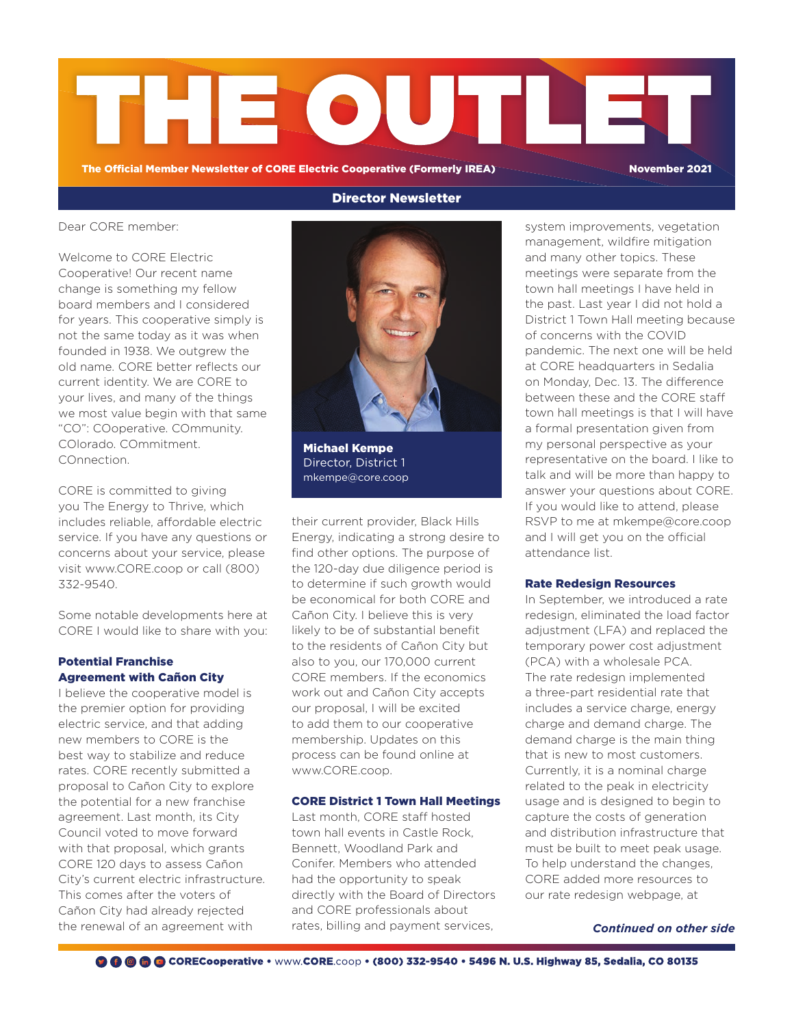

Director Newsletter

The Official Member Newsletter of CORE Electric Cooperative (Formerly IREA) November 2021

Dear CORE member:

Welcome to CORE Electric Cooperative! Our recent name change is something my fellow board members and I considered for years. This cooperative simply is not the same today as it was when founded in 1938. We outgrew the old name. CORE better reflects our current identity. We are CORE to your lives, and many of the things we most value begin with that same "CO": COoperative. COmmunity. COlorado. COmmitment. COnnection.

CORE is committed to giving you The Energy to Thrive, which includes reliable, affordable electric service. If you have any questions or concerns about your service, please visit www.CORE.coop or call (800) 332-9540.

Some notable developments here at CORE I would like to share with you:

# Potential Franchise Agreement with Cañon City

I believe the cooperative model is the premier option for providing electric service, and that adding new members to CORE is the best way to stabilize and reduce rates. CORE recently submitted a proposal to Cañon City to explore the potential for a new franchise agreement. Last month, its City Council voted to move forward with that proposal, which grants CORE 120 days to assess Cañon City's current electric infrastructure. This comes after the voters of Cañon City had already rejected the renewal of an agreement with



Michael Kempe Director, District 1 mkempe@core.coop

their current provider, Black Hills Energy, indicating a strong desire to find other options. The purpose of the 120-day due diligence period is to determine if such growth would be economical for both CORE and Cañon City. I believe this is very likely to be of substantial benefit to the residents of Cañon City but also to you, our 170,000 current CORE members. If the economics work out and Cañon City accepts our proposal, I will be excited to add them to our cooperative membership. Updates on this process can be found online at www.CORE.coop.

## CORE District 1 Town Hall Meetings

Last month, CORE staff hosted town hall events in Castle Rock, Bennett, Woodland Park and Conifer. Members who attended had the opportunity to speak directly with the Board of Directors and CORE professionals about rates, billing and payment services,

system improvements, vegetation management, wildfire mitigation and many other topics. These meetings were separate from the town hall meetings I have held in the past. Last year I did not hold a District 1 Town Hall meeting because of concerns with the COVID pandemic. The next one will be held at CORE headquarters in Sedalia on Monday, Dec. 13. The difference between these and the CORE staff town hall meetings is that I will have a formal presentation given from my personal perspective as your representative on the board. I like to talk and will be more than happy to answer your questions about CORE. If you would like to attend, please RSVP to me at mkempe@core.coop and I will get you on the official attendance list.

#### Rate Redesign Resources

In September, we introduced a rate redesign, eliminated the load factor adjustment (LFA) and replaced the temporary power cost adjustment (PCA) with a wholesale PCA. The rate redesign implemented a three-part residential rate that includes a service charge, energy charge and demand charge. The demand charge is the main thing that is new to most customers. Currently, it is a nominal charge related to the peak in electricity usage and is designed to begin to capture the costs of generation and distribution infrastructure that must be built to meet peak usage. To help understand the changes, CORE added more resources to our rate redesign webpage, at

*Continued on other side*